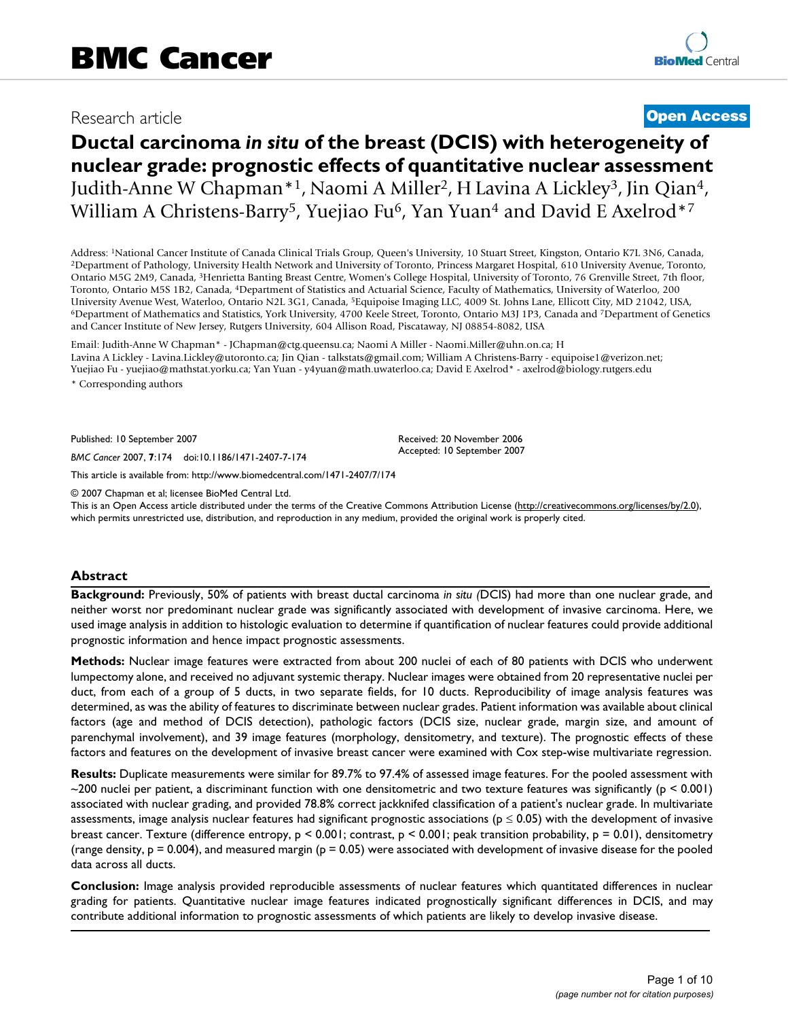# Research article **[Open Access](http://www.biomedcentral.com/info/about/charter/)**

# **Ductal carcinoma** *in situ* **of the breast (DCIS) with heterogeneity of nuclear grade: prognostic effects of quantitative nuclear assessment** Judith-Anne W Chapman\*1, Naomi A Miller2, H Lavina A Lickley3, Jin Qian4, William A Christens-Barry<sup>5</sup>, Yuejiao Fu<sup>6</sup>, Yan Yuan<sup>4</sup> and David E Axelrod<sup>\*7</sup>

Address: <sup>1</sup>National Cancer Institute of Canada Clinical Trials Group, Queen's University, 10 Stuart Street, Kingston, Ontario K7L 3N6, Canada, <sup>2</sup>Department of Pathology, University Health Network and University of Toront Ontario M5G 2M9, Canada, 3Henrietta Banting Breast Centre, Women's College Hospital, University of Toronto, 76 Grenville Street, 7th floor, Toronto, Ontario M5S 1B2, Canada, 4Department of Statistics and Actuarial Science, Faculty of Mathematics, University of Waterloo, 200 University Avenue West, Waterloo, Ontario N2L 3G1, Canada, <sup>5</sup>Equipoise Imaging LLC, 4009 St. Johns Lane, Ellicott City, MD 21042, USA, <sup>6</sup>Department of Mathematics and Statistics, York University, 4700 Keele Street, Toron and Cancer Institute of New Jersey, Rutgers University, 604 Allison Road, Piscataway, NJ 08854-8082, USA

Email: Judith-Anne W Chapman\* - JChapman@ctg.queensu.ca; Naomi A Miller - Naomi.Miller@uhn.on.ca; H Lavina A Lickley - Lavina.Lickley@utoronto.ca; Jin Qian - talkstats@gmail.com; William A Christens-Barry - equipoise1@verizon.net; Yuejiao Fu - yuejiao@mathstat.yorku.ca; Yan Yuan - y4yuan@math.uwaterloo.ca; David E Axelrod\* - axelrod@biology.rutgers.edu \* Corresponding authors

Published: 10 September 2007

*BMC Cancer* 2007, **7**:174 doi:10.1186/1471-2407-7-174

[This article is available from: http://www.biomedcentral.com/1471-2407/7/174](http://www.biomedcentral.com/1471-2407/7/174)

© 2007 Chapman et al; licensee BioMed Central Ltd.

This is an Open Access article distributed under the terms of the Creative Commons Attribution License [\(http://creativecommons.org/licenses/by/2.0\)](http://creativecommons.org/licenses/by/2.0), which permits unrestricted use, distribution, and reproduction in any medium, provided the original work is properly cited.

Received: 20 November 2006 Accepted: 10 September 2007

#### **Abstract**

**Background:** Previously, 50% of patients with breast ductal carcinoma *in situ (*DCIS) had more than one nuclear grade, and neither worst nor predominant nuclear grade was significantly associated with development of invasive carcinoma. Here, we used image analysis in addition to histologic evaluation to determine if quantification of nuclear features could provide additional prognostic information and hence impact prognostic assessments.

**Methods:** Nuclear image features were extracted from about 200 nuclei of each of 80 patients with DCIS who underwent lumpectomy alone, and received no adjuvant systemic therapy. Nuclear images were obtained from 20 representative nuclei per duct, from each of a group of 5 ducts, in two separate fields, for 10 ducts. Reproducibility of image analysis features was determined, as was the ability of features to discriminate between nuclear grades. Patient information was available about clinical factors (age and method of DCIS detection), pathologic factors (DCIS size, nuclear grade, margin size, and amount of parenchymal involvement), and 39 image features (morphology, densitometry, and texture). The prognostic effects of these factors and features on the development of invasive breast cancer were examined with Cox step-wise multivariate regression.

**Results:** Duplicate measurements were similar for 89.7% to 97.4% of assessed image features. For the pooled assessment with ~200 nuclei per patient, a discriminant function with one densitometric and two texture features was significantly (p < 0.001) associated with nuclear grading, and provided 78.8% correct jackknifed classification of a patient's nuclear grade. In multivariate assessments, image analysis nuclear features had significant prognostic associations ( $p \le 0.05$ ) with the development of invasive breast cancer. Texture (difference entropy,  $p < 0.001$ ; contrast,  $p < 0.001$ ; peak transition probability,  $p = 0.01$ ), densitometry (range density,  $p = 0.004$ ), and measured margin ( $p = 0.05$ ) were associated with development of invasive disease for the pooled data across all ducts.

**Conclusion:** Image analysis provided reproducible assessments of nuclear features which quantitated differences in nuclear grading for patients. Quantitative nuclear image features indicated prognostically significant differences in DCIS, and may contribute additional information to prognostic assessments of which patients are likely to develop invasive disease.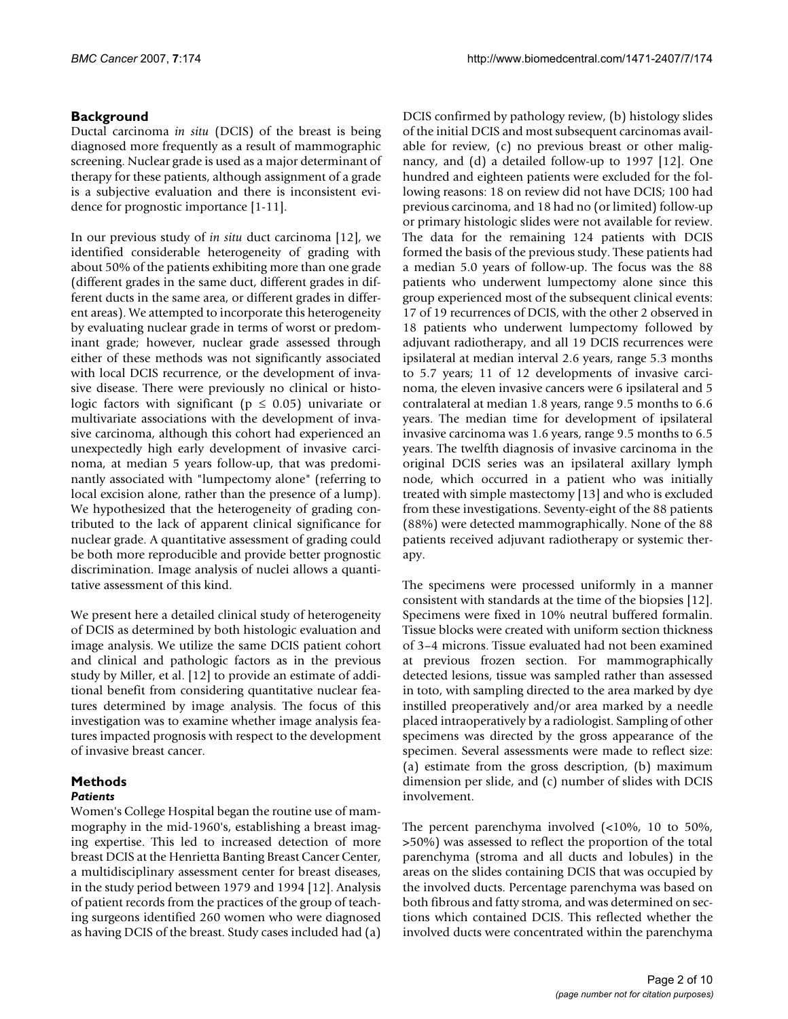## **Background**

Ductal carcinoma *in situ* (DCIS) of the breast is being diagnosed more frequently as a result of mammographic screening. Nuclear grade is used as a major determinant of therapy for these patients, although assignment of a grade is a subjective evaluation and there is inconsistent evidence for prognostic importance [1-11].

In our previous study of *in situ* duct carcinoma [12], we identified considerable heterogeneity of grading with about 50% of the patients exhibiting more than one grade (different grades in the same duct, different grades in different ducts in the same area, or different grades in different areas). We attempted to incorporate this heterogeneity by evaluating nuclear grade in terms of worst or predominant grade; however, nuclear grade assessed through either of these methods was not significantly associated with local DCIS recurrence, or the development of invasive disease. There were previously no clinical or histologic factors with significant ( $p \leq 0.05$ ) univariate or multivariate associations with the development of invasive carcinoma, although this cohort had experienced an unexpectedly high early development of invasive carcinoma, at median 5 years follow-up, that was predominantly associated with "lumpectomy alone" (referring to local excision alone, rather than the presence of a lump). We hypothesized that the heterogeneity of grading contributed to the lack of apparent clinical significance for nuclear grade. A quantitative assessment of grading could be both more reproducible and provide better prognostic discrimination. Image analysis of nuclei allows a quantitative assessment of this kind.

We present here a detailed clinical study of heterogeneity of DCIS as determined by both histologic evaluation and image analysis. We utilize the same DCIS patient cohort and clinical and pathologic factors as in the previous study by Miller, et al. [12] to provide an estimate of additional benefit from considering quantitative nuclear features determined by image analysis. The focus of this investigation was to examine whether image analysis features impacted prognosis with respect to the development of invasive breast cancer.

#### **Methods** *Patients*

Women's College Hospital began the routine use of mammography in the mid-1960's, establishing a breast imaging expertise. This led to increased detection of more breast DCIS at the Henrietta Banting Breast Cancer Center, a multidisciplinary assessment center for breast diseases, in the study period between 1979 and 1994 [12]. Analysis of patient records from the practices of the group of teaching surgeons identified 260 women who were diagnosed as having DCIS of the breast. Study cases included had (a)

DCIS confirmed by pathology review, (b) histology slides of the initial DCIS and most subsequent carcinomas available for review, (c) no previous breast or other malignancy, and (d) a detailed follow-up to 1997 [12]. One hundred and eighteen patients were excluded for the following reasons: 18 on review did not have DCIS; 100 had previous carcinoma, and 18 had no (or limited) follow-up or primary histologic slides were not available for review. The data for the remaining 124 patients with DCIS formed the basis of the previous study. These patients had a median 5.0 years of follow-up. The focus was the 88 patients who underwent lumpectomy alone since this group experienced most of the subsequent clinical events: 17 of 19 recurrences of DCIS, with the other 2 observed in 18 patients who underwent lumpectomy followed by adjuvant radiotherapy, and all 19 DCIS recurrences were ipsilateral at median interval 2.6 years, range 5.3 months to 5.7 years; 11 of 12 developments of invasive carcinoma, the eleven invasive cancers were 6 ipsilateral and 5 contralateral at median 1.8 years, range 9.5 months to 6.6 years. The median time for development of ipsilateral invasive carcinoma was 1.6 years, range 9.5 months to 6.5 years. The twelfth diagnosis of invasive carcinoma in the original DCIS series was an ipsilateral axillary lymph node, which occurred in a patient who was initially treated with simple mastectomy [13] and who is excluded from these investigations. Seventy-eight of the 88 patients (88%) were detected mammographically. None of the 88 patients received adjuvant radiotherapy or systemic therapy.

The specimens were processed uniformly in a manner consistent with standards at the time of the biopsies [12]. Specimens were fixed in 10% neutral buffered formalin. Tissue blocks were created with uniform section thickness of 3–4 microns. Tissue evaluated had not been examined at previous frozen section. For mammographically detected lesions, tissue was sampled rather than assessed in toto, with sampling directed to the area marked by dye instilled preoperatively and/or area marked by a needle placed intraoperatively by a radiologist. Sampling of other specimens was directed by the gross appearance of the specimen. Several assessments were made to reflect size: (a) estimate from the gross description, (b) maximum dimension per slide, and (c) number of slides with DCIS involvement.

The percent parenchyma involved (<10%, 10 to 50%, >50%) was assessed to reflect the proportion of the total parenchyma (stroma and all ducts and lobules) in the areas on the slides containing DCIS that was occupied by the involved ducts. Percentage parenchyma was based on both fibrous and fatty stroma, and was determined on sections which contained DCIS. This reflected whether the involved ducts were concentrated within the parenchyma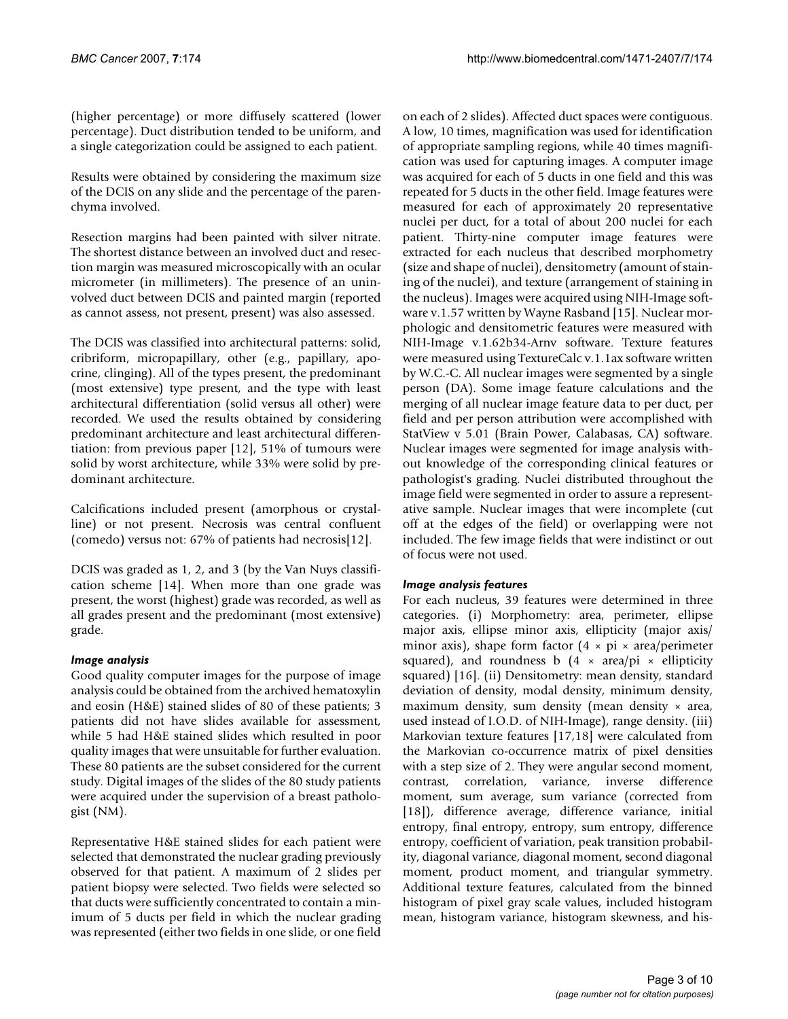(higher percentage) or more diffusely scattered (lower percentage). Duct distribution tended to be uniform, and a single categorization could be assigned to each patient.

Results were obtained by considering the maximum size of the DCIS on any slide and the percentage of the parenchyma involved.

Resection margins had been painted with silver nitrate. The shortest distance between an involved duct and resection margin was measured microscopically with an ocular micrometer (in millimeters). The presence of an uninvolved duct between DCIS and painted margin (reported as cannot assess, not present, present) was also assessed.

The DCIS was classified into architectural patterns: solid, cribriform, micropapillary, other (e.g., papillary, apocrine, clinging). All of the types present, the predominant (most extensive) type present, and the type with least architectural differentiation (solid versus all other) were recorded. We used the results obtained by considering predominant architecture and least architectural differentiation: from previous paper [12], 51% of tumours were solid by worst architecture, while 33% were solid by predominant architecture.

Calcifications included present (amorphous or crystalline) or not present. Necrosis was central confluent (comedo) versus not: 67% of patients had necrosis[12].

DCIS was graded as 1, 2, and 3 (by the Van Nuys classification scheme [14]. When more than one grade was present, the worst (highest) grade was recorded, as well as all grades present and the predominant (most extensive) grade.

#### *Image analysis*

Good quality computer images for the purpose of image analysis could be obtained from the archived hematoxylin and eosin (H&E) stained slides of 80 of these patients; 3 patients did not have slides available for assessment, while 5 had H&E stained slides which resulted in poor quality images that were unsuitable for further evaluation. These 80 patients are the subset considered for the current study. Digital images of the slides of the 80 study patients were acquired under the supervision of a breast pathologist (NM).

Representative H&E stained slides for each patient were selected that demonstrated the nuclear grading previously observed for that patient. A maximum of 2 slides per patient biopsy were selected. Two fields were selected so that ducts were sufficiently concentrated to contain a minimum of 5 ducts per field in which the nuclear grading was represented (either two fields in one slide, or one field on each of 2 slides). Affected duct spaces were contiguous. A low, 10 times, magnification was used for identification of appropriate sampling regions, while 40 times magnification was used for capturing images. A computer image was acquired for each of 5 ducts in one field and this was repeated for 5 ducts in the other field. Image features were measured for each of approximately 20 representative nuclei per duct, for a total of about 200 nuclei for each patient. Thirty-nine computer image features were extracted for each nucleus that described morphometry (size and shape of nuclei), densitometry (amount of staining of the nuclei), and texture (arrangement of staining in the nucleus). Images were acquired using NIH-Image software v.1.57 written by Wayne Rasband [15]. Nuclear morphologic and densitometric features were measured with NIH-Image v.1.62b34-Arnv software. Texture features were measured using TextureCalc v.1.1ax software written by W.C.-C. All nuclear images were segmented by a single person (DA). Some image feature calculations and the merging of all nuclear image feature data to per duct, per field and per person attribution were accomplished with StatView v 5.01 (Brain Power, Calabasas, CA) software. Nuclear images were segmented for image analysis without knowledge of the corresponding clinical features or pathologist's grading. Nuclei distributed throughout the image field were segmented in order to assure a representative sample. Nuclear images that were incomplete (cut off at the edges of the field) or overlapping were not included. The few image fields that were indistinct or out of focus were not used.

#### *Image analysis features*

For each nucleus, 39 features were determined in three categories. (i) Morphometry: area, perimeter, ellipse major axis, ellipse minor axis, ellipticity (major axis/ minor axis), shape form factor  $(4 \times pi \times area/perimeter)$ squared), and roundness b  $(4 \times \text{area/pi} \times$  ellipticity squared) [16]. (ii) Densitometry: mean density, standard deviation of density, modal density, minimum density, maximum density, sum density (mean density  $\times$  area, used instead of I.O.D. of NIH-Image), range density. (iii) Markovian texture features [17,18] were calculated from the Markovian co-occurrence matrix of pixel densities with a step size of 2. They were angular second moment, contrast, correlation, variance, inverse difference moment, sum average, sum variance (corrected from [18]), difference average, difference variance, initial entropy, final entropy, entropy, sum entropy, difference entropy, coefficient of variation, peak transition probability, diagonal variance, diagonal moment, second diagonal moment, product moment, and triangular symmetry. Additional texture features, calculated from the binned histogram of pixel gray scale values, included histogram mean, histogram variance, histogram skewness, and his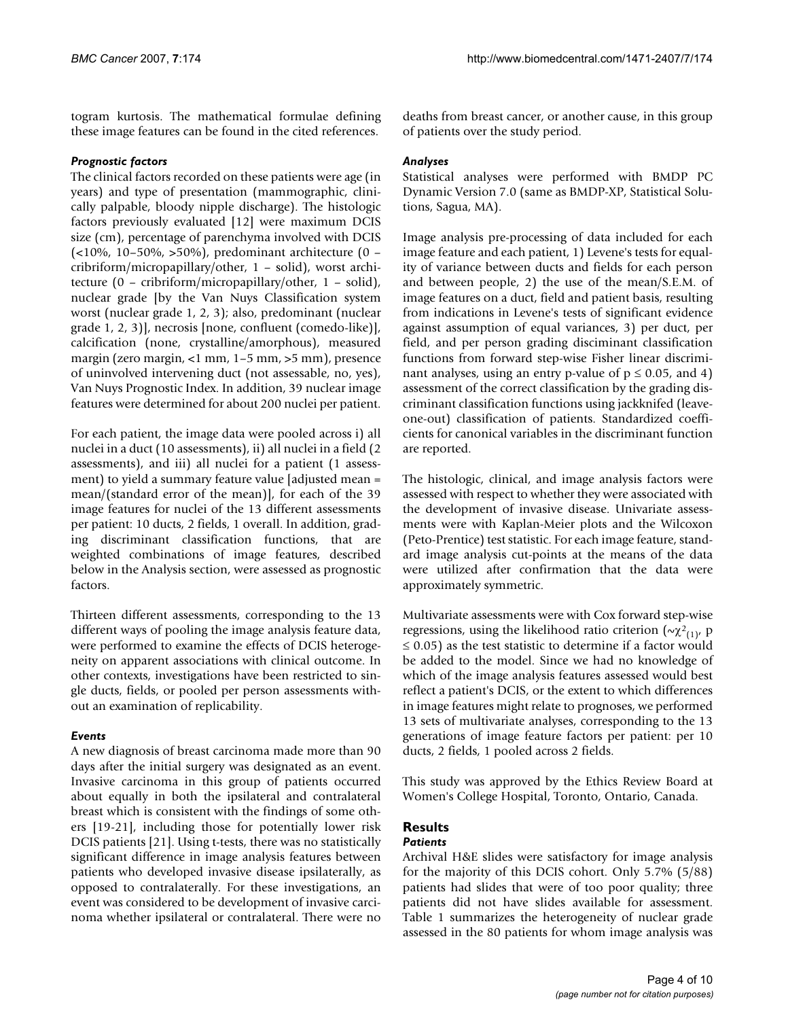togram kurtosis. The mathematical formulae defining these image features can be found in the cited references.

#### *Prognostic factors*

The clinical factors recorded on these patients were age (in years) and type of presentation (mammographic, clinically palpable, bloody nipple discharge). The histologic factors previously evaluated [12] were maximum DCIS size (cm), percentage of parenchyma involved with DCIS (<10%, 10–50%, >50%), predominant architecture (0 – cribriform/micropapillary/other, 1 – solid), worst architecture (0 – cribriform/micropapillary/other, 1 – solid), nuclear grade [by the Van Nuys Classification system worst (nuclear grade 1, 2, 3); also, predominant (nuclear grade 1, 2, 3)], necrosis [none, confluent (comedo-like)], calcification (none, crystalline/amorphous), measured margin (zero margin, <1 mm, 1–5 mm, >5 mm), presence of uninvolved intervening duct (not assessable, no, yes), Van Nuys Prognostic Index. In addition, 39 nuclear image features were determined for about 200 nuclei per patient.

For each patient, the image data were pooled across i) all nuclei in a duct (10 assessments), ii) all nuclei in a field (2 assessments), and iii) all nuclei for a patient (1 assessment) to yield a summary feature value [adjusted mean = mean/(standard error of the mean)], for each of the 39 image features for nuclei of the 13 different assessments per patient: 10 ducts, 2 fields, 1 overall. In addition, grading discriminant classification functions, that are weighted combinations of image features, described below in the Analysis section, were assessed as prognostic factors.

Thirteen different assessments, corresponding to the 13 different ways of pooling the image analysis feature data, were performed to examine the effects of DCIS heterogeneity on apparent associations with clinical outcome. In other contexts, investigations have been restricted to single ducts, fields, or pooled per person assessments without an examination of replicability.

#### *Events*

A new diagnosis of breast carcinoma made more than 90 days after the initial surgery was designated as an event. Invasive carcinoma in this group of patients occurred about equally in both the ipsilateral and contralateral breast which is consistent with the findings of some others [19-21], including those for potentially lower risk DCIS patients [21]. Using t-tests, there was no statistically significant difference in image analysis features between patients who developed invasive disease ipsilaterally, as opposed to contralaterally. For these investigations, an event was considered to be development of invasive carcinoma whether ipsilateral or contralateral. There were no

deaths from breast cancer, or another cause, in this group of patients over the study period.

### *Analyses*

Statistical analyses were performed with BMDP PC Dynamic Version 7.0 (same as BMDP-XP, Statistical Solutions, Sagua, MA).

Image analysis pre-processing of data included for each image feature and each patient, 1) Levene's tests for equality of variance between ducts and fields for each person and between people, 2) the use of the mean/S.E.M. of image features on a duct, field and patient basis, resulting from indications in Levene's tests of significant evidence against assumption of equal variances, 3) per duct, per field, and per person grading disciminant classification functions from forward step-wise Fisher linear discriminant analyses, using an entry p-value of  $p \le 0.05$ , and 4) assessment of the correct classification by the grading discriminant classification functions using jackknifed (leaveone-out) classification of patients. Standardized coefficients for canonical variables in the discriminant function are reported.

The histologic, clinical, and image analysis factors were assessed with respect to whether they were associated with the development of invasive disease. Univariate assessments were with Kaplan-Meier plots and the Wilcoxon (Peto-Prentice) test statistic. For each image feature, standard image analysis cut-points at the means of the data were utilized after confirmation that the data were approximately symmetric.

Multivariate assessments were with Cox forward step-wise regressions, using the likelihood ratio criterion  $(\sim \chi^2_{(1)}, p)$  $\leq$  0.05) as the test statistic to determine if a factor would be added to the model. Since we had no knowledge of which of the image analysis features assessed would best reflect a patient's DCIS, or the extent to which differences in image features might relate to prognoses, we performed 13 sets of multivariate analyses, corresponding to the 13 generations of image feature factors per patient: per 10 ducts, 2 fields, 1 pooled across 2 fields.

This study was approved by the Ethics Review Board at Women's College Hospital, Toronto, Ontario, Canada.

# **Results**

#### *Patients*

Archival H&E slides were satisfactory for image analysis for the majority of this DCIS cohort. Only 5.7% (5/88) patients had slides that were of too poor quality; three patients did not have slides available for assessment. Table 1 summarizes the heterogeneity of nuclear grade assessed in the 80 patients for whom image analysis was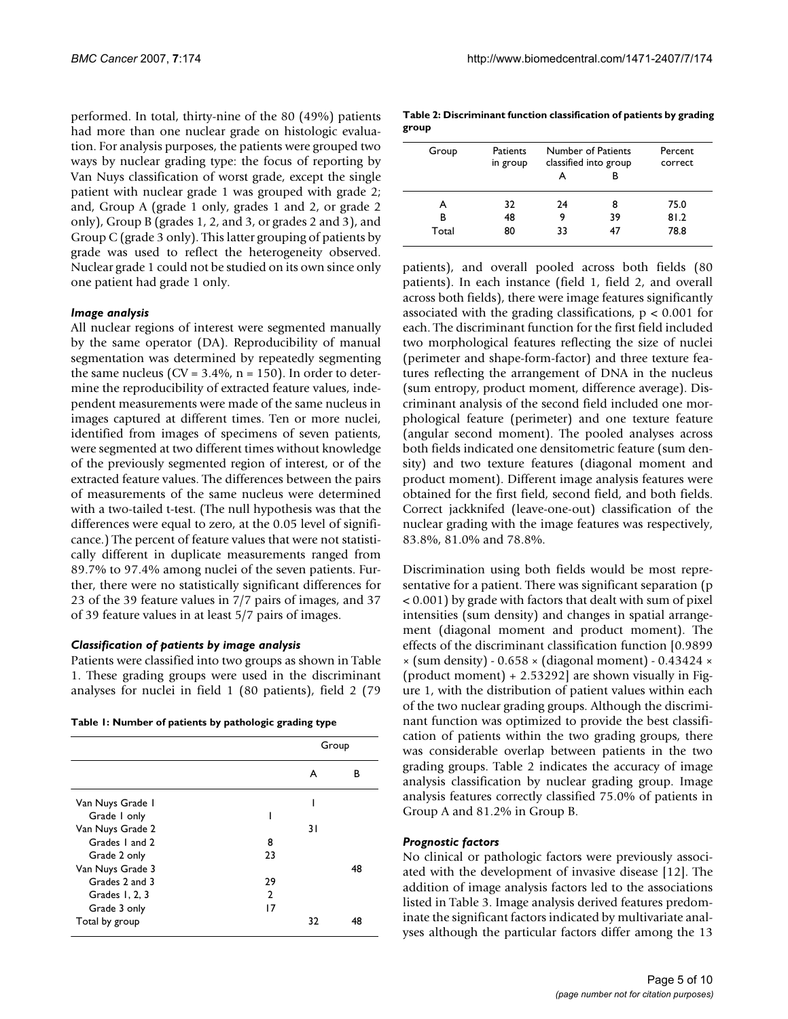performed. In total, thirty-nine of the 80 (49%) patients had more than one nuclear grade on histologic evaluation. For analysis purposes, the patients were grouped two ways by nuclear grading type: the focus of reporting by Van Nuys classification of worst grade, except the single patient with nuclear grade 1 was grouped with grade 2; and, Group A (grade 1 only, grades 1 and 2, or grade 2 only), Group B (grades 1, 2, and 3, or grades 2 and 3), and Group C (grade 3 only). This latter grouping of patients by grade was used to reflect the heterogeneity observed. Nuclear grade 1 could not be studied on its own since only one patient had grade 1 only.

#### *Image analysis*

All nuclear regions of interest were segmented manually by the same operator (DA). Reproducibility of manual segmentation was determined by repeatedly segmenting the same nucleus (CV =  $3.4\%$ , n = 150). In order to determine the reproducibility of extracted feature values, independent measurements were made of the same nucleus in images captured at different times. Ten or more nuclei, identified from images of specimens of seven patients, were segmented at two different times without knowledge of the previously segmented region of interest, or of the extracted feature values. The differences between the pairs of measurements of the same nucleus were determined with a two-tailed t-test. (The null hypothesis was that the differences were equal to zero, at the 0.05 level of significance.) The percent of feature values that were not statistically different in duplicate measurements ranged from 89.7% to 97.4% among nuclei of the seven patients. Further, there were no statistically significant differences for 23 of the 39 feature values in 7/7 pairs of images, and 37 of 39 feature values in at least 5/7 pairs of images.

#### *Classification of patients by image analysis*

Patients were classified into two groups as shown in Table 1. These grading groups were used in the discriminant analyses for nuclei in field 1 (80 patients), field 2 (79

|  | Table 1: Number of patients by pathologic grading type |
|--|--------------------------------------------------------|
|--|--------------------------------------------------------|

|                  |               | Group |    |
|------------------|---------------|-------|----|
|                  |               | A     | в  |
| Van Nuys Grade I |               |       |    |
| Grade I only     |               |       |    |
| Van Nuys Grade 2 |               | 31    |    |
| Grades 1 and 2   | 8             |       |    |
| Grade 2 only     | 23            |       |    |
| Van Nuys Grade 3 |               |       | 48 |
| Grades 2 and 3   | 29            |       |    |
| Grades 1, 2, 3   | $\mathcal{P}$ |       |    |
| Grade 3 only     | 17            |       |    |
| Total by group   |               | 32    | 48 |

**Table 2: Discriminant function classification of patients by grading group**

| Group | <b>Patients</b><br>in group | Number of Patients<br>classified into group |    | Percent<br>correct |
|-------|-----------------------------|---------------------------------------------|----|--------------------|
|       |                             | А                                           | B  |                    |
| А     | 32                          | 24                                          | 8  | 75.0               |
| в     | 48                          | 9                                           | 39 | 81.2               |
| Total | 80                          | 33                                          | 47 | 78.8               |

patients), and overall pooled across both fields (80 patients). In each instance (field 1, field 2, and overall across both fields), there were image features significantly associated with the grading classifications, p < 0.001 for each. The discriminant function for the first field included two morphological features reflecting the size of nuclei (perimeter and shape-form-factor) and three texture features reflecting the arrangement of DNA in the nucleus (sum entropy, product moment, difference average). Discriminant analysis of the second field included one morphological feature (perimeter) and one texture feature (angular second moment). The pooled analyses across both fields indicated one densitometric feature (sum density) and two texture features (diagonal moment and product moment). Different image analysis features were obtained for the first field, second field, and both fields. Correct jackknifed (leave-one-out) classification of the nuclear grading with the image features was respectively, 83.8%, 81.0% and 78.8%.

Discrimination using both fields would be most representative for a patient. There was significant separation (p < 0.001) by grade with factors that dealt with sum of pixel intensities (sum density) and changes in spatial arrangement (diagonal moment and product moment). The effects of the discriminant classification function [0.9899 × (sum density) - 0.658 × (diagonal moment) - 0.43424 × (product moment) + 2.53292] are shown visually in Figure 1, with the distribution of patient values within each of the two nuclear grading groups. Although the discriminant function was optimized to provide the best classification of patients within the two grading groups, there was considerable overlap between patients in the two grading groups. Table 2 indicates the accuracy of image analysis classification by nuclear grading group. Image analysis features correctly classified 75.0% of patients in Group A and 81.2% in Group B.

#### *Prognostic factors*

No clinical or pathologic factors were previously associated with the development of invasive disease [12]. The addition of image analysis factors led to the associations listed in Table 3. Image analysis derived features predominate the significant factors indicated by multivariate analyses although the particular factors differ among the 13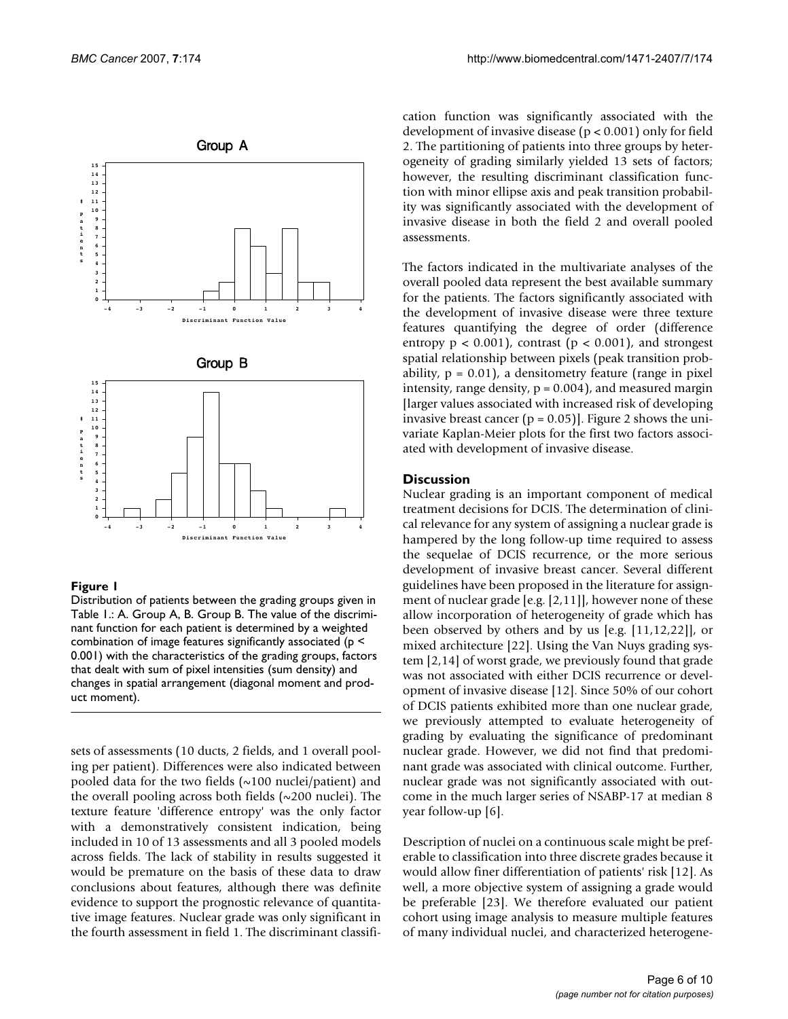

#### **Figure 1**

Distribution of patients between the grading groups given in Table 1.: A. Group A, B. Group B. The value of the discriminant function for each patient is determined by a weighted combination of image features significantly associated (p < 0.001) with the characteristics of the grading groups, factors that dealt with sum of pixel intensities (sum density) and changes in spatial arrangement (diagonal moment and product moment).

sets of assessments (10 ducts, 2 fields, and 1 overall pooling per patient). Differences were also indicated between pooled data for the two fields  $(\sim 100 \text{ nuclei/patient})$  and the overall pooling across both fields  $(\sim 200$  nuclei). The texture feature 'difference entropy' was the only factor with a demonstratively consistent indication, being included in 10 of 13 assessments and all 3 pooled models across fields. The lack of stability in results suggested it would be premature on the basis of these data to draw conclusions about features, although there was definite evidence to support the prognostic relevance of quantitative image features. Nuclear grade was only significant in the fourth assessment in field 1. The discriminant classification function was significantly associated with the development of invasive disease (p < 0.001) only for field 2. The partitioning of patients into three groups by heterogeneity of grading similarly yielded 13 sets of factors; however, the resulting discriminant classification function with minor ellipse axis and peak transition probability was significantly associated with the development of invasive disease in both the field 2 and overall pooled assessments.

The factors indicated in the multivariate analyses of the overall pooled data represent the best available summary for the patients. The factors significantly associated with the development of invasive disease were three texture features quantifying the degree of order (difference entropy  $p < 0.001$ ), contrast ( $p < 0.001$ ), and strongest spatial relationship between pixels (peak transition probability,  $p = 0.01$ ), a densitometry feature (range in pixel intensity, range density,  $p = 0.004$ ), and measured margin [larger values associated with increased risk of developing invasive breast cancer ( $p = 0.05$ )]. Figure 2 shows the univariate Kaplan-Meier plots for the first two factors associated with development of invasive disease.

#### **Discussion**

Nuclear grading is an important component of medical treatment decisions for DCIS. The determination of clinical relevance for any system of assigning a nuclear grade is hampered by the long follow-up time required to assess the sequelae of DCIS recurrence, or the more serious development of invasive breast cancer. Several different guidelines have been proposed in the literature for assignment of nuclear grade [e.g. [2,11]], however none of these allow incorporation of heterogeneity of grade which has been observed by others and by us [e.g. [11,12,22]], or mixed architecture [22]. Using the Van Nuys grading system [2,14] of worst grade, we previously found that grade was not associated with either DCIS recurrence or development of invasive disease [12]. Since 50% of our cohort of DCIS patients exhibited more than one nuclear grade, we previously attempted to evaluate heterogeneity of grading by evaluating the significance of predominant nuclear grade. However, we did not find that predominant grade was associated with clinical outcome. Further, nuclear grade was not significantly associated with outcome in the much larger series of NSABP-17 at median 8 year follow-up [6].

Description of nuclei on a continuous scale might be preferable to classification into three discrete grades because it would allow finer differentiation of patients' risk [12]. As well, a more objective system of assigning a grade would be preferable [23]. We therefore evaluated our patient cohort using image analysis to measure multiple features of many individual nuclei, and characterized heterogene-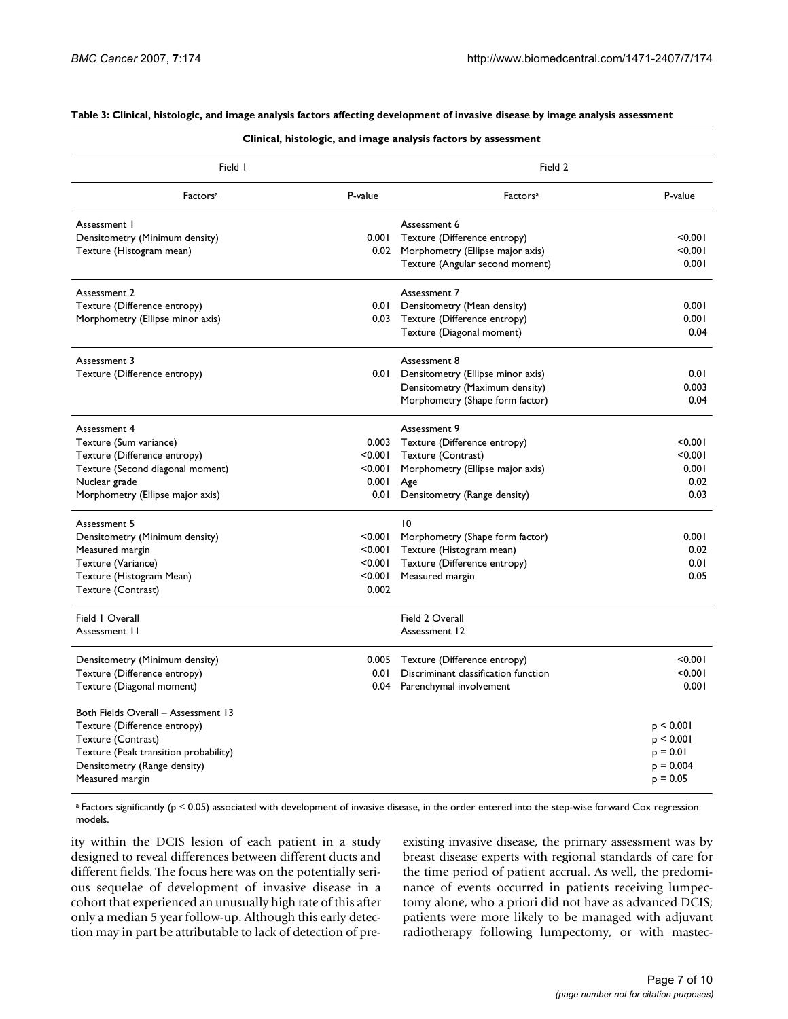| Clinical, histologic, and image analysis factors by assessment                                                                                                     |         |                                       |                                                         |  |  |  |
|--------------------------------------------------------------------------------------------------------------------------------------------------------------------|---------|---------------------------------------|---------------------------------------------------------|--|--|--|
| Field I                                                                                                                                                            |         | Field 2                               |                                                         |  |  |  |
| Factors <sup>a</sup>                                                                                                                                               | P-value | Factors <sup>a</sup>                  | P-value                                                 |  |  |  |
| Assessment 1                                                                                                                                                       |         | Assessment 6                          |                                                         |  |  |  |
| Densitometry (Minimum density)                                                                                                                                     |         | 0.001 Texture (Difference entropy)    | < 0.001                                                 |  |  |  |
| Texture (Histogram mean)                                                                                                                                           |         | 0.02 Morphometry (Ellipse major axis) | < 0.001                                                 |  |  |  |
|                                                                                                                                                                    |         | Texture (Angular second moment)       | 0.001                                                   |  |  |  |
| Assessment 2                                                                                                                                                       |         | Assessment 7                          |                                                         |  |  |  |
| Texture (Difference entropy)                                                                                                                                       | 0.01    | Densitometry (Mean density)           | 0.001                                                   |  |  |  |
| Morphometry (Ellipse minor axis)                                                                                                                                   |         | 0.03 Texture (Difference entropy)     | 0.001                                                   |  |  |  |
|                                                                                                                                                                    |         | Texture (Diagonal moment)             | 0.04                                                    |  |  |  |
| Assessment 3                                                                                                                                                       |         | Assessment 8                          |                                                         |  |  |  |
| Texture (Difference entropy)                                                                                                                                       | 0.01    | Densitometry (Ellipse minor axis)     | 0.01                                                    |  |  |  |
|                                                                                                                                                                    |         | Densitometry (Maximum density)        | 0.003                                                   |  |  |  |
|                                                                                                                                                                    |         | Morphometry (Shape form factor)       | 0.04                                                    |  |  |  |
| Assessment 4                                                                                                                                                       |         | Assessment 9                          |                                                         |  |  |  |
| Texture (Sum variance)                                                                                                                                             | 0.003   | Texture (Difference entropy)          | < 0.001                                                 |  |  |  |
| Texture (Difference entropy)                                                                                                                                       | <0.001  | Texture (Contrast)                    | < 0.001                                                 |  |  |  |
| Texture (Second diagonal moment)                                                                                                                                   | < 0.001 | Morphometry (Ellipse major axis)      | 0.001                                                   |  |  |  |
| Nuclear grade                                                                                                                                                      | 0.001   | Age                                   | 0.02                                                    |  |  |  |
| Morphometry (Ellipse major axis)                                                                                                                                   | 0.01    | Densitometry (Range density)          | 0.03                                                    |  |  |  |
| Assessment 5                                                                                                                                                       |         | $\overline{10}$                       |                                                         |  |  |  |
| Densitometry (Minimum density)                                                                                                                                     | <0.001  | Morphometry (Shape form factor)       | 0.001                                                   |  |  |  |
| Measured margin                                                                                                                                                    | < 0.001 | Texture (Histogram mean)              | 0.02                                                    |  |  |  |
| Texture (Variance)                                                                                                                                                 | < 0.001 | Texture (Difference entropy)          | 0.01                                                    |  |  |  |
| Texture (Histogram Mean)                                                                                                                                           | < 0.001 | Measured margin                       | 0.05                                                    |  |  |  |
| Texture (Contrast)                                                                                                                                                 | 0.002   |                                       |                                                         |  |  |  |
| Field I Overall                                                                                                                                                    |         | Field 2 Overall                       |                                                         |  |  |  |
| Assessment II                                                                                                                                                      |         | Assessment 12                         |                                                         |  |  |  |
| Densitometry (Minimum density)                                                                                                                                     | 0.005   | Texture (Difference entropy)          | < 0.001                                                 |  |  |  |
| Texture (Difference entropy)                                                                                                                                       | 0.01    | Discriminant classification function  | < 0.001                                                 |  |  |  |
| Texture (Diagonal moment)                                                                                                                                          | 0.04    | Parenchymal involvement               | 0.001                                                   |  |  |  |
| Both Fields Overall - Assessment 13<br>Texture (Difference entropy)<br>Texture (Contrast)<br>Texture (Peak transition probability)<br>Densitometry (Range density) |         |                                       | $p \le 0.001$<br>p < 0.001<br>$p = 0.01$<br>$p = 0.004$ |  |  |  |
| Measured margin                                                                                                                                                    |         |                                       | $p = 0.05$                                              |  |  |  |

#### **Table 3: Clinical, histologic, and image analysis factors affecting development of invasive disease by image analysis assessment**

a Factors significantly (p ≤ 0.05) associated with development of invasive disease, in the order entered into the step-wise forward Cox regression models.

ity within the DCIS lesion of each patient in a study designed to reveal differences between different ducts and different fields. The focus here was on the potentially serious sequelae of development of invasive disease in a cohort that experienced an unusually high rate of this after only a median 5 year follow-up. Although this early detection may in part be attributable to lack of detection of preexisting invasive disease, the primary assessment was by breast disease experts with regional standards of care for the time period of patient accrual. As well, the predominance of events occurred in patients receiving lumpectomy alone, who a priori did not have as advanced DCIS; patients were more likely to be managed with adjuvant radiotherapy following lumpectomy, or with mastec-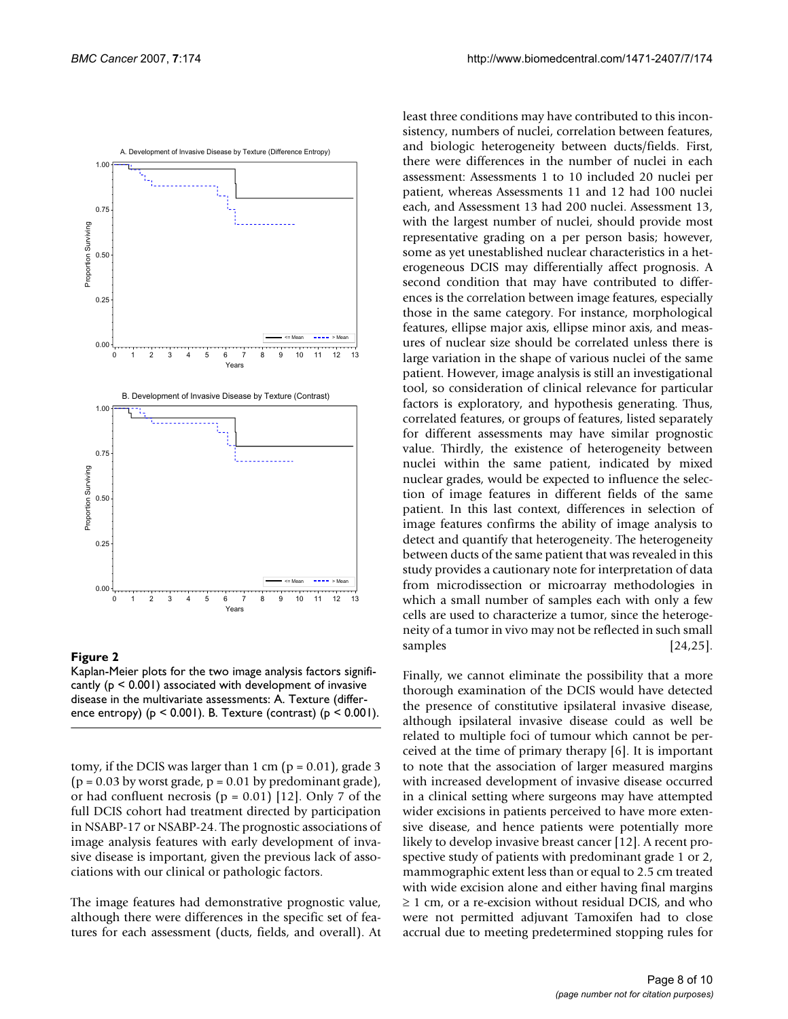

#### Figure 2

Kaplan-Meier plots for the two image analysis factors significantly  $(p < 0.001)$  associated with development of invasive disease in the multivariate assessments: A. Texture (difference entropy) ( $p < 0.001$ ). B. Texture (contrast) ( $p < 0.001$ ).

tomy, if the DCIS was larger than 1 cm ( $p = 0.01$ ), grade 3  $(p = 0.03$  by worst grade,  $p = 0.01$  by predominant grade), or had confluent necrosis ( $p = 0.01$ ) [12]. Only 7 of the full DCIS cohort had treatment directed by participation in NSABP-17 or NSABP-24. The prognostic associations of image analysis features with early development of invasive disease is important, given the previous lack of associations with our clinical or pathologic factors.

The image features had demonstrative prognostic value, although there were differences in the specific set of features for each assessment (ducts, fields, and overall). At least three conditions may have contributed to this inconsistency, numbers of nuclei, correlation between features, and biologic heterogeneity between ducts/fields. First, there were differences in the number of nuclei in each assessment: Assessments 1 to 10 included 20 nuclei per patient, whereas Assessments 11 and 12 had 100 nuclei each, and Assessment 13 had 200 nuclei. Assessment 13, with the largest number of nuclei, should provide most representative grading on a per person basis; however, some as yet unestablished nuclear characteristics in a heterogeneous DCIS may differentially affect prognosis. A second condition that may have contributed to differences is the correlation between image features, especially those in the same category. For instance, morphological features, ellipse major axis, ellipse minor axis, and measures of nuclear size should be correlated unless there is large variation in the shape of various nuclei of the same patient. However, image analysis is still an investigational tool, so consideration of clinical relevance for particular factors is exploratory, and hypothesis generating. Thus, correlated features, or groups of features, listed separately for different assessments may have similar prognostic value. Thirdly, the existence of heterogeneity between nuclei within the same patient, indicated by mixed nuclear grades, would be expected to influence the selection of image features in different fields of the same patient. In this last context, differences in selection of image features confirms the ability of image analysis to detect and quantify that heterogeneity. The heterogeneity between ducts of the same patient that was revealed in this study provides a cautionary note for interpretation of data from microdissection or microarray methodologies in which a small number of samples each with only a few cells are used to characterize a tumor, since the heterogeneity of a tumor in vivo may not be reflected in such small samples  $[24,25]$ .

Finally, we cannot eliminate the possibility that a more thorough examination of the DCIS would have detected the presence of constitutive ipsilateral invasive disease, although ipsilateral invasive disease could as well be related to multiple foci of tumour which cannot be perceived at the time of primary therapy [6]. It is important to note that the association of larger measured margins with increased development of invasive disease occurred in a clinical setting where surgeons may have attempted wider excisions in patients perceived to have more extensive disease, and hence patients were potentially more likely to develop invasive breast cancer [12]. A recent prospective study of patients with predominant grade 1 or 2, mammographic extent less than or equal to 2.5 cm treated with wide excision alone and either having final margins  $\geq$  1 cm, or a re-excision without residual DCIS, and who were not permitted adjuvant Tamoxifen had to close accrual due to meeting predetermined stopping rules for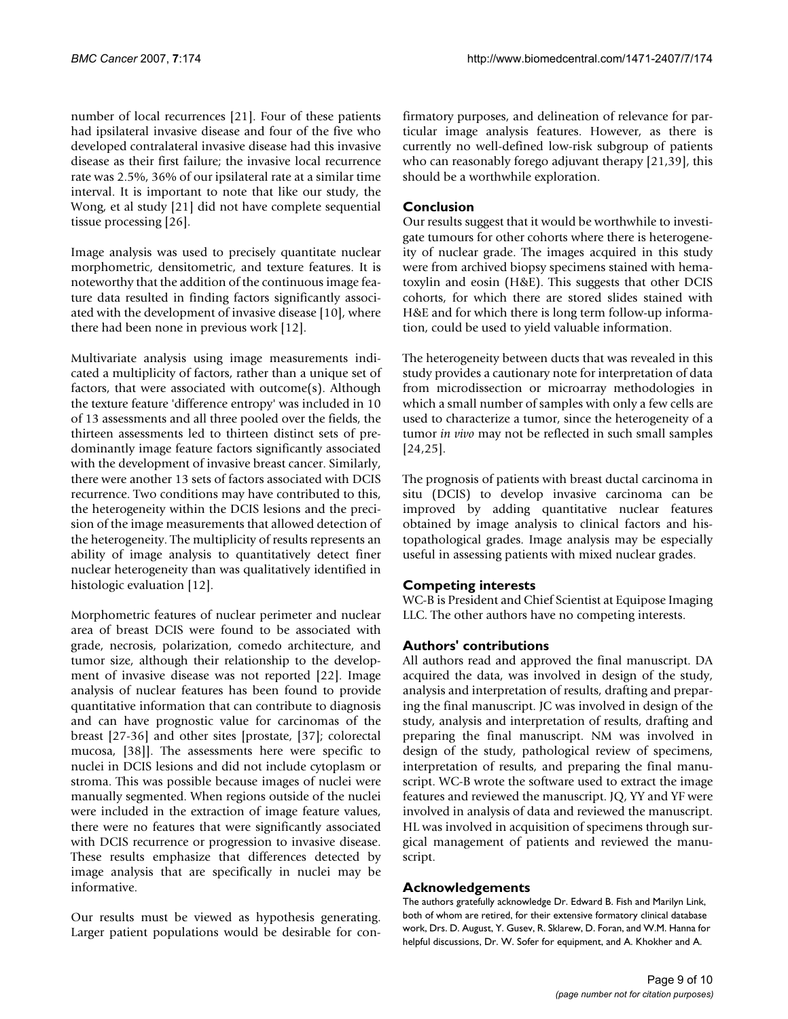number of local recurrences [21]. Four of these patients had ipsilateral invasive disease and four of the five who developed contralateral invasive disease had this invasive disease as their first failure; the invasive local recurrence rate was 2.5%, 36% of our ipsilateral rate at a similar time interval. It is important to note that like our study, the Wong, et al study [21] did not have complete sequential tissue processing [26].

Image analysis was used to precisely quantitate nuclear morphometric, densitometric, and texture features. It is noteworthy that the addition of the continuous image feature data resulted in finding factors significantly associated with the development of invasive disease [[10\]](#page-9-0), where there had been none in previous work [12].

Multivariate analysis using image measurements indicated a multiplicity of factors, rather than a unique set of factors, that were associated with outcome(s). Although the texture feature 'difference entropy' was included in 10 of 13 assessments and all three pooled over the fields, the thirteen assessments led to thirteen distinct sets of predominantly image feature factors significantly associated with the development of invasive breast cancer. Similarly, there were another 13 sets of factors associated with DCIS recurrence. Two conditions may have contributed to this, the heterogeneity within the DCIS lesions and the precision of the image measurements that allowed detection of the heterogeneity. The multiplicity of results represents an ability of image analysis to quantitatively detect finer nuclear heterogeneity than was qualitatively identified in histologic evaluation [12].

Morphometric features of nuclear perimeter and nuclear area of breast DCIS were found to be associated with grade, necrosis, polarization, comedo architecture, and tumor size, although their relationship to the development of invasive disease was not reported [22]. Image analysis of nuclear features has been found to provide quantitative information that can contribute to diagnosis and can have prognostic value for carcinomas of the breast [27-36] and other sites [prostate, [37]; colorectal mucosa, [38]]. The assessments here were specific to nuclei in DCIS lesions and did not include cytoplasm or stroma. This was possible because images of nuclei were manually segmented. When regions outside of the nuclei were included in the extraction of image feature values, there were no features that were significantly associated with DCIS recurrence or progression to invasive disease. These results emphasize that differences detected by image analysis that are specifically in nuclei may be informative.

Our results must be viewed as hypothesis generating. Larger patient populations would be desirable for confirmatory purposes, and delineation of relevance for particular image analysis features. However, as there is currently no well-defined low-risk subgroup of patients who can reasonably forego adjuvant therapy [21,39], this should be a worthwhile exploration.

#### **Conclusion**

Our results suggest that it would be worthwhile to investigate tumours for other cohorts where there is heterogeneity of nuclear grade. The images acquired in this study were from archived biopsy specimens stained with hematoxylin and eosin (H&E). This suggests that other DCIS cohorts, for which there are stored slides stained with H&E and for which there is long term follow-up information, could be used to yield valuable information.

The heterogeneity between ducts that was revealed in this study provides a cautionary note for interpretation of data from microdissection or microarray methodologies in which a small number of samples with only a few cells are used to characterize a tumor, since the heterogeneity of a tumor *in vivo* may not be reflected in such small samples [24,25].

The prognosis of patients with breast ductal carcinoma in situ (DCIS) to develop invasive carcinoma can be improved by adding quantitative nuclear features obtained by image analysis to clinical factors and histopathological grades. Image analysis may be especially useful in assessing patients with mixed nuclear grades.

#### **Competing interests**

WC-B is President and Chief Scientist at Equipose Imaging LLC. The other authors have no competing interests.

#### **Authors' contributions**

All authors read and approved the final manuscript. DA acquired the data, was involved in design of the study, analysis and interpretation of results, drafting and preparing the final manuscript. JC was involved in design of the study, analysis and interpretation of results, drafting and preparing the final manuscript. NM was involved in design of the study, pathological review of specimens, interpretation of results, and preparing the final manuscript. WC-B wrote the software used to extract the image features and reviewed the manuscript. JQ, YY and YF were involved in analysis of data and reviewed the manuscript. HL was involved in acquisition of specimens through surgical management of patients and reviewed the manuscript.

#### **Acknowledgements**

The authors gratefully acknowledge Dr. Edward B. Fish and Marilyn Link, both of whom are retired, for their extensive formatory clinical database work, Drs. D. August, Y. Gusev, R. Sklarew, D. Foran, and W.M. Hanna for helpful discussions, Dr. W. Sofer for equipment, and A. Khokher and A.